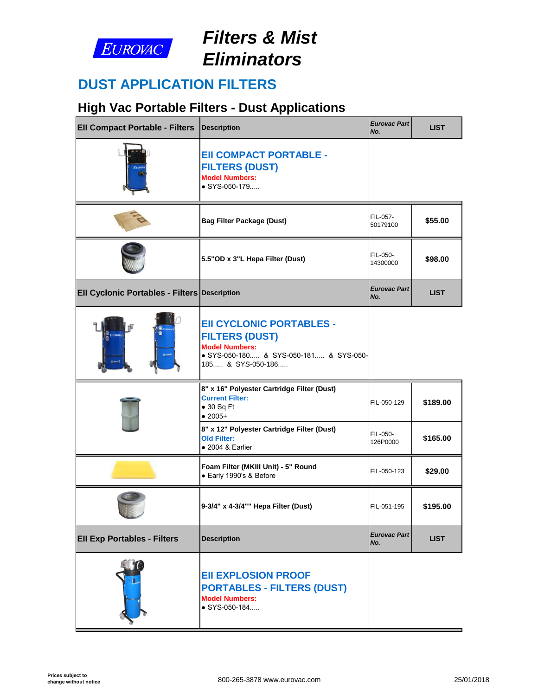

# *Filters & Mist Eliminators*

### **DUST APPLICATION FILTERS**

## **High Vac Portable Filters - Dust Applications**

| <b>Ell Compact Portable - Filters Description</b>   |                                                                                                                                                  | <b>Eurovac Part</b><br>No. |
|-----------------------------------------------------|--------------------------------------------------------------------------------------------------------------------------------------------------|----------------------------|
| te m                                                | <b>EII COMPACT PORTABLE -</b><br><b>FILTERS (DUST)</b><br><b>Model Numbers:</b><br>• SYS-050-179                                                 |                            |
|                                                     | <b>Bag Filter Package (Dust)</b>                                                                                                                 | FIL-057-<br>50179100       |
|                                                     | 5.5"OD x 3"L Hepa Filter (Dust)                                                                                                                  | FIL-050-<br>14300000       |
| <b>Ell Cyclonic Portables - Filters Description</b> |                                                                                                                                                  | <b>Eurovac Part</b><br>No. |
| THE                                                 | <b>EII CYCLONIC PORTABLES -</b><br><b>FILTERS (DUST)</b><br><b>Model Numbers:</b><br>· SYS-050-180 & SYS-050-181 & SYS-050-<br>185 & SYS-050-186 |                            |
|                                                     | 8" x 16" Polyester Cartridge Filter (Dust)<br><b>Current Filter:</b><br>$\bullet$ 30 Sq Ft<br>$•2005+$                                           | FIL-050-129                |
|                                                     | 8" x 12" Polyester Cartridge Filter (Dust)<br><b>Old Filter:</b><br>$\bullet$ 2004 & Earlier                                                     | FIL-050-<br>126P0000       |
|                                                     | Foam Filter (MKIII Unit) - 5" Round<br>· Early 1990's & Before                                                                                   | FIL-050-123                |
|                                                     | 9-3/4" x 4-3/4"" Hepa Filter (Dust)                                                                                                              | FIL-051-195                |
| <b>EII Exp Portables - Filters</b>                  | <b>Description</b>                                                                                                                               | <b>Eurovac Part</b><br>No. |
|                                                     | <b>EII EXPLOSION PROOF</b><br><b>PORTABLES - FILTERS (DUST)</b><br><b>Model Numbers:</b><br>$\bullet$ SYS-050-184                                |                            |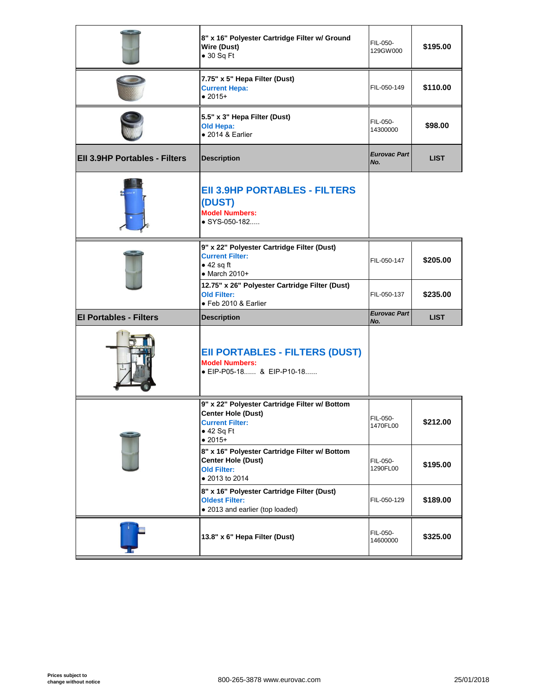|                               | 8" x 16" Polyester Cartridge Filter w/ Ground<br>Wire (Dust)<br>$\bullet$ 30 Sq Ft                                                      | FIL-050-<br>129GW000       |
|-------------------------------|-----------------------------------------------------------------------------------------------------------------------------------------|----------------------------|
|                               | 7.75" x 5" Hepa Filter (Dust)<br><b>Current Hepa:</b><br>$• 2015+$                                                                      | FIL-050-149                |
|                               | 5.5" x 3" Hepa Filter (Dust)<br>Old Hepa:<br>$\bullet$ 2014 & Earlier                                                                   | FIL-050-<br>14300000       |
| EII 3.9HP Portables - Filters | <b>Description</b>                                                                                                                      | <b>Eurovac Part</b><br>No. |
|                               | <b>EII 3.9HP PORTABLES - FILTERS</b><br>(DUST)<br><b>Model Numbers:</b><br>$\bullet$ SYS-050-182                                        |                            |
|                               | 9" x 22" Polyester Cartridge Filter (Dust)<br><b>Current Filter:</b><br>$\bullet$ 42 sq ft<br>$\bullet$ March 2010+                     | FIL-050-147                |
|                               | 12.75" x 26" Polyester Cartridge Filter (Dust)<br><b>Old Filter:</b>                                                                    | FIL-050-137                |
|                               | · Feb 2010 & Earlier                                                                                                                    |                            |
| <b>El Portables - Filters</b> | <b>Description</b>                                                                                                                      | <b>Eurovac Part</b><br>No. |
|                               | <b>EII PORTABLES - FILTERS (DUST)</b><br><b>Model Numbers:</b><br>● EIP-P05-18 & EIP-P10-18                                             |                            |
|                               | 9" x 22" Polyester Cartridge Filter w/ Bottom<br><b>Center Hole (Dust)</b><br><b>Current Filter:</b><br>$\bullet$ 42 Sq Ft<br>$• 2015+$ | FIL-050-<br>1470FL00       |
|                               | 8" x 16" Polyester Cartridge Filter w/ Bottom<br><b>Center Hole (Dust)</b><br><b>Old Filter:</b><br>• 2013 to 2014                      | FIL-050-<br>1290FL00       |
|                               | 8" x 16" Polyester Cartridge Filter (Dust)<br><b>Oldest Filter:</b><br>• 2013 and earlier (top loaded)                                  | FIL-050-129                |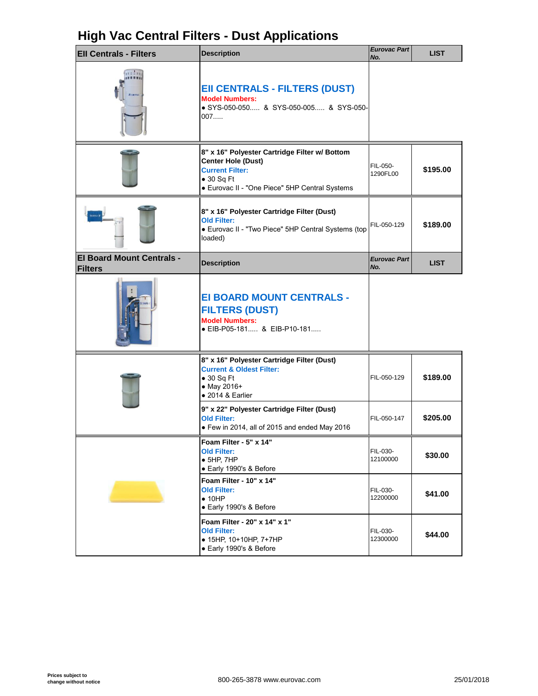### **High Vac Central Filters - Dust Applications**

| <b>EII Centrals - Filters</b>                      | <b>Description</b>                                                                                                                                                           | <b>Eurovac Part</b><br>No. |
|----------------------------------------------------|------------------------------------------------------------------------------------------------------------------------------------------------------------------------------|----------------------------|
| EE E E EE                                          | <b>EII CENTRALS - FILTERS (DUST)</b><br><b>Model Numbers:</b><br>• SYS-050-050 & SYS-050-005 & SYS-050-<br>007                                                               |                            |
|                                                    | 8" x 16" Polyester Cartridge Filter w/ Bottom<br><b>Center Hole (Dust)</b><br><b>Current Filter:</b><br>$\bullet$ 30 Sq Ft<br>• Eurovac II - "One Piece" 5HP Central Systems | FIL-050-<br>1290FL00       |
|                                                    | 8" x 16" Polyester Cartridge Filter (Dust)<br><b>Old Filter:</b><br>• Eurovac II - "Two Piece" 5HP Central Systems (top<br>loaded)                                           | FIL-050-129                |
| <b>El Board Mount Centrals -</b><br><b>Filters</b> | <b>Description</b>                                                                                                                                                           | <b>Eurovac Part</b><br>No. |
|                                                    | EI BOARD MOUNT CENTRALS -<br><b>FILTERS (DUST)</b><br><b>Model Numbers:</b><br>● EIB-P05-181 & EIB-P10-181                                                                   |                            |
|                                                    | 8" x 16" Polyester Cartridge Filter (Dust)<br><b>Current &amp; Oldest Filter:</b><br>$\bullet$ 30 Sq Ft<br>• May 2016+<br>$\bullet$ 2014 & Earlier                           | FIL-050-129                |
|                                                    | 9" x 22" Polyester Cartridge Filter (Dust)<br><b>Old Filter:</b><br>• Few in 2014, all of 2015 and ended May 2016                                                            | FIL-050-147                |
|                                                    | Foam Filter - 5" x 14"<br><b>Old Filter:</b><br>$\bullet$ 5HP, 7HP<br>• Early 1990's & Before                                                                                | FIL-030-<br>12100000       |
|                                                    | Foam Filter - 10" x 14"<br><b>Old Filter:</b><br>$\bullet$ 10HP<br>• Early 1990's & Before                                                                                   | FIL-030-<br>12200000       |
|                                                    | Foam Filter - 20" x 14" x 1"<br><b>Old Filter:</b><br>• 15HP, 10+10HP, 7+7HP<br>• Early 1990's & Before                                                                      | FIL-030-<br>12300000       |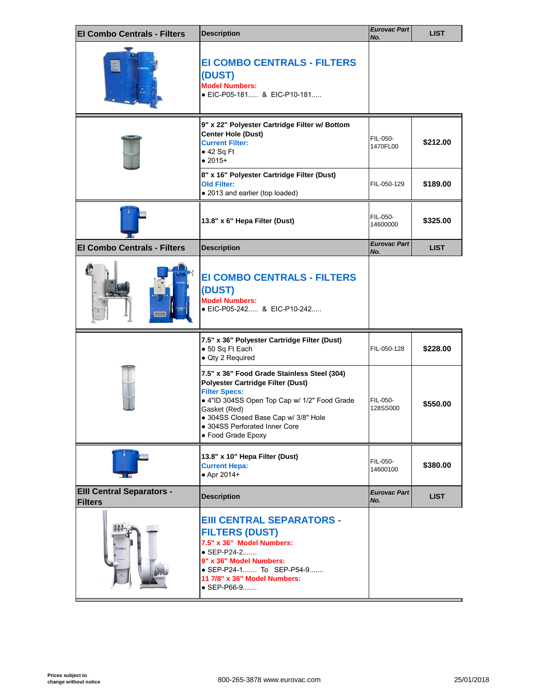| <b>El Combo Centrals - Filters</b>                 | <b>Description</b>                                                                                                                                                                                                                                                      | <b>Eurovac Part</b><br>No. |
|----------------------------------------------------|-------------------------------------------------------------------------------------------------------------------------------------------------------------------------------------------------------------------------------------------------------------------------|----------------------------|
|                                                    | <b>EI COMBO CENTRALS - FILTERS</b><br>(DUST)<br><b>Model Numbers:</b><br>• EIC-P05-181 & EIC-P10-181                                                                                                                                                                    |                            |
|                                                    | 9" x 22" Polyester Cartridge Filter w/ Bottom<br><b>Center Hole (Dust)</b><br><b>Current Filter:</b><br>• 42 Sq Ft<br>$• 2015+$                                                                                                                                         | FIL-050-<br>1470FL00       |
|                                                    | 8" x 16" Polyester Cartridge Filter (Dust)<br><b>Old Filter:</b><br>• 2013 and earlier (top loaded)                                                                                                                                                                     | FIL-050-129                |
|                                                    | 13.8" x 6" Hepa Filter (Dust)                                                                                                                                                                                                                                           | FIL-050-<br>14600000       |
| <b>El Combo Centrals - Filters</b>                 | <b>Description</b>                                                                                                                                                                                                                                                      | <b>Eurovac Part</b><br>No. |
|                                                    | <b>EI COMBO CENTRALS - FILTERS</b><br>(DUST)<br><b>Model Numbers:</b><br>● EIC-P05-242 & EIC-P10-242                                                                                                                                                                    |                            |
|                                                    | 7.5" x 36" Polyester Cartridge Filter (Dust)<br>• 50 Sq Ft Each<br>• Qty 2 Required                                                                                                                                                                                     | FIL-050-128                |
|                                                    | 7.5" x 36" Food Grade Stainless Steel (304)<br>Polyester Cartridge Filter (Dust)<br><b>Filter Specs:</b><br>• 4"ID 304SS Open Top Cap w/ 1/2" Food Grade<br>Gasket (Red)<br>• 304SS Closed Base Cap w/ 3/8" Hole<br>• 304SS Perforated Inner Core<br>• Food Grade Epoxy | FIL-050-<br>128SS000       |
|                                                    | 13.8" x 10" Hepa Filter (Dust)<br><b>Current Hepa:</b><br>• Apr 2014+                                                                                                                                                                                                   | FIL-050-<br>14600100       |
| <b>EIII Central Separators -</b><br><b>Filters</b> | <b>Description</b>                                                                                                                                                                                                                                                      | <b>Eurovac Part</b><br>No. |
| <b>EUROVA</b>                                      | <b>EIII CENTRAL SEPARATORS -</b><br><b>FILTERS (DUST)</b><br>7.5" x 36" Model Numbers:<br>• SEP-P24-2<br>9" x 36" Model Numbers:<br>• SEP-P24-1 To SEP-P54-9<br>11 7/8" x 36" Model Numbers:<br>$\bullet$ SEP-P66-9                                                     |                            |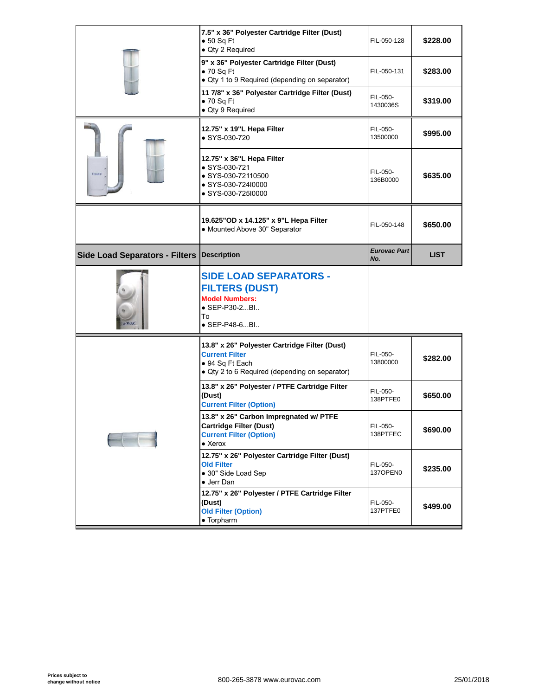|                                       | 7.5" x 36" Polyester Cartridge Filter (Dust)<br>$\bullet$ 50 Sq Ft<br>• Qty 2 Required                                                      | FIL-050-128                |
|---------------------------------------|---------------------------------------------------------------------------------------------------------------------------------------------|----------------------------|
|                                       | 9" x 36" Polyester Cartridge Filter (Dust)<br>$\bullet$ 70 Sq Ft<br>• Qty 1 to 9 Required (depending on separator)                          | FIL-050-131                |
|                                       | 11 7/8" x 36" Polyester Cartridge Filter (Dust)<br>$\bullet$ 70 Sq Ft<br>· Qty 9 Required                                                   | FIL-050-<br>1430036S       |
|                                       | 12.75" x 19"L Hepa Filter<br>• SYS-030-720                                                                                                  | FIL-050-<br>13500000       |
| EVROUM                                | 12.75" x 36"L Hepa Filter<br>• SYS-030-721<br>● SYS-030-72110500<br>● SYS-030-724l0000<br>● SYS-030-725I0000                                | FIL-050-<br>136B0000       |
|                                       | 19.625" OD x 14.125" x 9"L Hepa Filter<br>• Mounted Above 30" Separator                                                                     | FIL-050-148                |
| <b>Side Load Separators - Filters</b> | Description                                                                                                                                 | <b>Eurovac Part</b><br>No. |
|                                       |                                                                                                                                             |                            |
| <b>ROVAC</b>                          | <b>SIDE LOAD SEPARATORS -</b><br><b>FILTERS (DUST)</b><br><b>Model Numbers:</b><br>• SEP-P30-2Bl<br>To<br>$\bullet$ SEP-P48-6BI             |                            |
|                                       | 13.8" x 26" Polyester Cartridge Filter (Dust)<br><b>Current Filter</b><br>• 94 Sq Ft Each<br>• Qty 2 to 6 Required (depending on separator) | FIL-050-<br>13800000       |
|                                       | 13.8" x 26" Polyester / PTFE Cartridge Filter<br>(Dust)<br><b>Current Filter (Option)</b>                                                   | FIL-050-<br>138PTFE0       |
|                                       | 13.8" x 26" Carbon Impregnated w/ PTFE<br><b>Cartridge Filter (Dust)</b><br><b>Current Filter (Option)</b><br>$\bullet$ Xerox               | FIL-050-<br>138PTFEC       |
|                                       | 12.75" x 26" Polyester Cartridge Filter (Dust)<br><b>Old Filter</b><br>· 30" Side Load Sep<br>• Jerr Dan                                    | FIL-050-<br>137OPEN0       |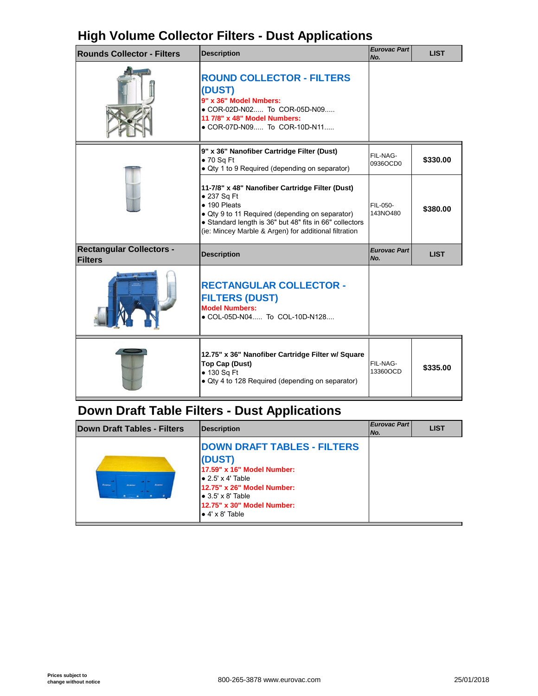### **High Volume Collector Filters - Dust Applications**

| <b>Rounds Collector - Filters</b>                 | <b>Description</b>                                                                                                                                                                                                                                            | <b>Eurovac Part</b><br>No. |
|---------------------------------------------------|---------------------------------------------------------------------------------------------------------------------------------------------------------------------------------------------------------------------------------------------------------------|----------------------------|
|                                                   | <b>ROUND COLLECTOR - FILTERS</b><br>(DUST)<br>9" x 36" Model Nmbers:<br>• COR-02D-N02 To COR-05D-N09<br>11 7/8" x 48" Model Numbers:<br>• COR-07D-N09 To COR-10D-N11                                                                                          |                            |
|                                                   | 9" x 36" Nanofiber Cartridge Filter (Dust)<br>$\bullet$ 70 Sq Ft<br>· Qty 1 to 9 Required (depending on separator)                                                                                                                                            | FIL-NAG-<br>0936OCD0       |
|                                                   | 11-7/8" x 48" Nanofiber Cartridge Filter (Dust)<br>$\bullet$ 237 Sq Ft<br>• 190 Pleats<br>• Qty 9 to 11 Required (depending on separator)<br>• Standard length is 36" but 48" fits in 66" collectors<br>(ie: Mincey Marble & Argen) for additional filtration | FIL-050-<br>143NO480       |
| <b>Rectangular Collectors -</b><br><b>Filters</b> | <b>Description</b>                                                                                                                                                                                                                                            | <b>Eurovac Part</b><br>No. |
|                                                   | <b>RECTANGULAR COLLECTOR -</b><br><b>FILTERS (DUST)</b><br><b>Model Numbers:</b><br>• COL-05D-N04 To COL-10D-N128                                                                                                                                             |                            |
|                                                   | 12.75" x 36" Nanofiber Cartridge Filter w/ Square<br>Top Cap (Dust)<br>• 130 Sq Ft<br>• Qty 4 to 128 Required (depending on separator)                                                                                                                        | FIL-NAG-<br>13360OCD       |

## **Down Draft Table Filters - Dust Applications**

| <b>DOWN DRAFT TABLES - FILTERS</b><br>(DUST)<br>17.59" x 16" Model Number:<br>$\bullet$ 2.5' x 4' Table<br>Etnouc<br>Ecanwel<br><b>Firmma</b><br>12.75" x 26" Model Number:<br>$\bullet$ 3.5' x 8' Table<br>12.75" x 30" Model Number:<br>$\bullet$ 4' x 8' Table | Down Draft Tables - Filters | <b>Description</b> | <b>Eurovac Part</b><br>No. |  |
|-------------------------------------------------------------------------------------------------------------------------------------------------------------------------------------------------------------------------------------------------------------------|-----------------------------|--------------------|----------------------------|--|
|                                                                                                                                                                                                                                                                   |                             |                    |                            |  |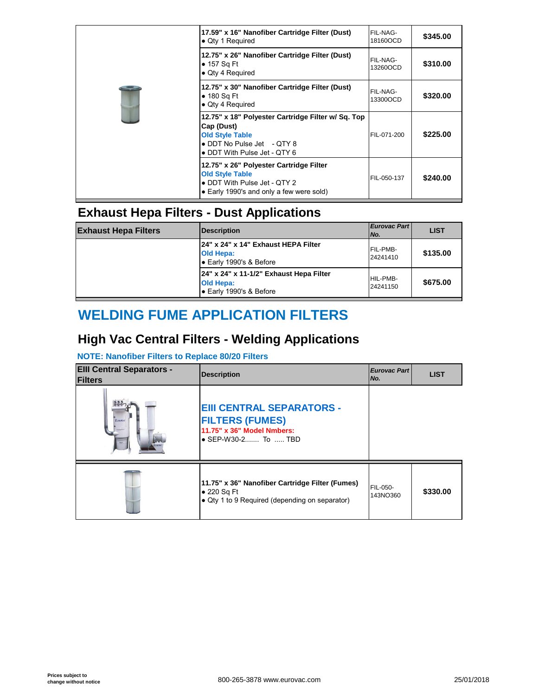|  | 17.59" x 16" Nanofiber Cartridge Filter (Dust)<br>• Qty 1 Required                                                                                       | FIL-NAG-<br>18160OCD |
|--|----------------------------------------------------------------------------------------------------------------------------------------------------------|----------------------|
|  | 12.75" x 26" Nanofiber Cartridge Filter (Dust)<br>$\bullet$ 157 Sq Ft<br>• Qty 4 Required                                                                | FIL-NAG-<br>13260OCD |
|  | 12.75" x 30" Nanofiber Cartridge Filter (Dust)<br>$\bullet$ 180 Sq Ft<br>• Qty 4 Required                                                                | FIL-NAG-<br>13300OCD |
|  | 12.75" x 18" Polyester Cartridge Filter w/ Sq. Top<br>Cap (Dust)<br><b>Old Style Table</b><br>• DDT No Pulse Jet - QTY 8<br>• DDT With Pulse Jet - QTY 6 | FIL-071-200          |
|  | 12.75" x 26" Polyester Cartridge Filter<br><b>Old Style Table</b><br>• DDT With Pulse Jet - QTY 2<br>• Early 1990's and only a few were sold)            | FIL-050-137          |

### **Exhaust Hepa Filters - Dust Applications**

| <b>Exhaust Hepa Filters</b> | <b>Description</b>                                                                   | Eurovac Part<br>No.  |
|-----------------------------|--------------------------------------------------------------------------------------|----------------------|
|                             | 24" x 24" x 14" Exhaust HEPA Filter<br><b>Old Hepa:</b><br>Early 1990's & Before     | FIL-PMB-<br>24241410 |
|                             | 24" x 24" x 11-1/2" Exhaust Hepa Filter<br><b>Old Hepa:</b><br>Early 1990's & Before | HIL-PMB-<br>24241150 |

## **WELDING FUME APPLICATION FILTERS**

### **High Vac Central Filters - Welding Applications**

#### **NOTE: Nanofiber Filters to Replace 80/20 Filters**

| <b>EIII Central Separators -</b><br><b>Filters</b> | <b>Description</b>                                                                                                       | <b>Eurovac Part</b><br>No. |
|----------------------------------------------------|--------------------------------------------------------------------------------------------------------------------------|----------------------------|
| EUROPA                                             | <b>EIII CENTRAL SEPARATORS -</b><br><b>FILTERS (FUMES)</b><br>11.75" x 36" Model Nmbers:<br>$\bullet$ SEP-W30-2 To  TBD  |                            |
|                                                    | 11.75" x 36" Nanofiber Cartridge Filter (Fumes)<br>$\bullet$ 220 Sq Ft<br>• Qty 1 to 9 Required (depending on separator) | FIL-050-<br>143NO360       |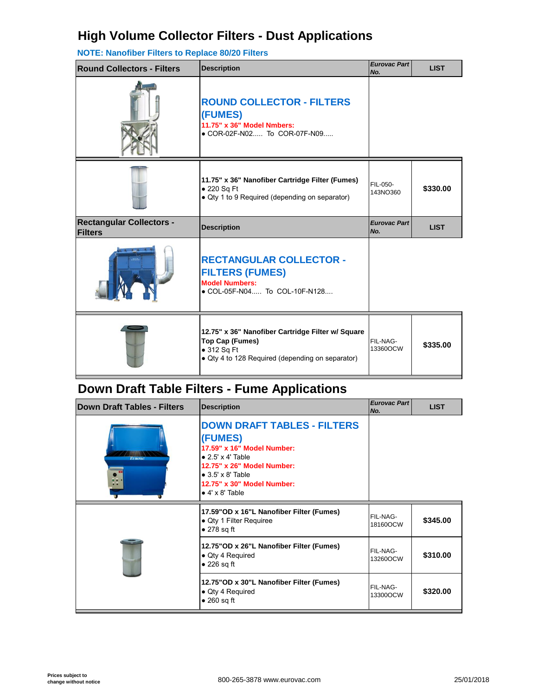### **High Volume Collector Filters - Dust Applications**

#### **NOTE: Nanofiber Filters to Replace 80/20 Filters**

| <b>Round Collectors - Filters</b> | <b>Description</b>                                                                                                 | <b>Eurovac Part</b><br>No. |
|-----------------------------------|--------------------------------------------------------------------------------------------------------------------|----------------------------|
|                                   | <b>ROUND COLLECTOR - FILTERS</b><br>(FUMES)<br>11.75" x 36" Model Nmbers:<br>• COR-02F-N02 To COR-07F-N09          |                            |
|                                   | 11.75" x 36" Nanofiber Cartridge Filter (Fumes)<br>• 220 Sq Ft<br>• Qty 1 to 9 Required (depending on separator)   | FIL-050-<br>143NO360       |
| <b>Rectangular Collectors -</b>   |                                                                                                                    | <b>Eurovac Part</b>        |
| <b>Filters</b>                    | <b>Description</b>                                                                                                 | No.                        |
|                                   | <b>RECTANGULAR COLLECTOR -</b><br><b>FILTERS (FUMES)</b><br><b>Model Numbers:</b><br>● COL-05F-N04 To COL-10F-N128 |                            |

## **Down Draft Table Filters - Fume Applications**

| <b>Down Draft Tables - Filters</b> | <b>Description</b>                                                                                                                                                                                                           | <b>Eurovac Part</b><br>No. |
|------------------------------------|------------------------------------------------------------------------------------------------------------------------------------------------------------------------------------------------------------------------------|----------------------------|
| <b>EUROVAC</b>                     | <b>DOWN DRAFT TABLES - FILTERS</b><br>(FUMES)<br>17.59" x 16" Model Number:<br>$\bullet$ 2.5' x 4' Table<br>12.75" x 26" Model Number:<br>$\bullet$ 3.5' x 8' Table<br>12.75" x 30" Model Number:<br>$\bullet$ 4' x 8' Table |                            |
|                                    | 17.59"OD x 16"L Nanofiber Filter (Fumes)<br>• Qty 1 Filter Requiree<br>$\bullet$ 278 sq ft                                                                                                                                   | FIL-NAG-<br>18160OCW       |
|                                    | 12.75" OD x 26" L Nanofiber Filter (Fumes)<br>• Qty 4 Required<br>$\bullet$ 226 sq ft                                                                                                                                        | FIL-NAG-<br>13260OCW       |
|                                    | 12.75" OD x 30" L Nanofiber Filter (Fumes)<br>• Qty 4 Required<br>$\bullet$ 260 sq ft                                                                                                                                        | FIL-NAG-<br>13300OCW       |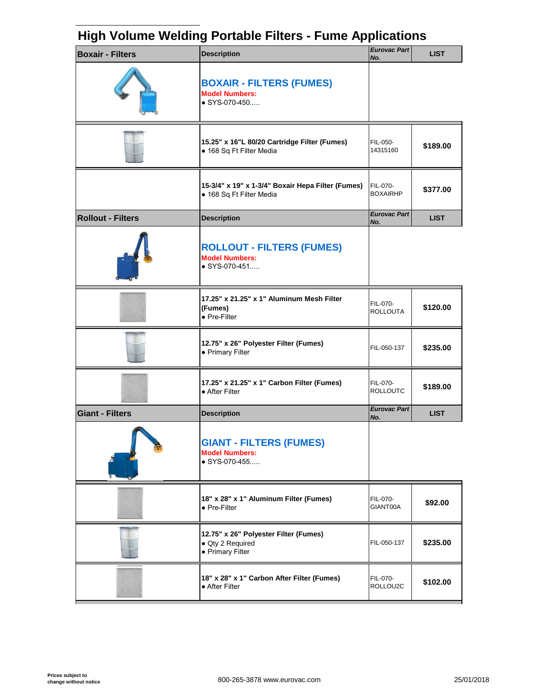### **High Volume Welding Portable Filters - Fume Applications**

| <b>Boxair - Filters</b>  | <b>Description</b>                                                                 | <b>Eurovac Part</b><br>No.  |
|--------------------------|------------------------------------------------------------------------------------|-----------------------------|
|                          | <b>BOXAIR - FILTERS (FUMES)</b><br><b>Model Numbers:</b><br>$\bullet$ SYS-070-450  |                             |
|                          | 15.25" x 16"L 80/20 Cartridge Filter (Fumes)<br>• 168 Sq Ft Filter Media           | FIL-050-<br>14315160        |
|                          | 15-3/4" x 19" x 1-3/4" Boxair Hepa Filter (Fumes)<br>• 168 Sq Ft Filter Media      | FIL-070-<br><b>BOXAIRHP</b> |
| <b>Rollout - Filters</b> | <b>Description</b>                                                                 | <b>Eurovac Part</b><br>No.  |
|                          | <b>ROLLOUT - FILTERS (FUMES)</b><br><b>Model Numbers:</b><br>$\bullet$ SYS-070-451 |                             |
|                          | 17.25" x 21.25" x 1" Aluminum Mesh Filter<br>(Fumes)<br>• Pre-Filter               | FIL-070-<br><b>ROLLOUTA</b> |
|                          | 12.75" x 26" Polyester Filter (Fumes)<br>• Primary Filter                          | FIL-050-137                 |
|                          | 17.25" x 21.25" x 1" Carbon Filter (Fumes)<br>• After Filter                       | FIL-070-<br><b>ROLLOUTC</b> |
| <b>Giant - Filters</b>   | <b>Description</b>                                                                 | <b>Eurovac Part</b><br>No.  |
|                          | <b>GIANT - FILTERS (FUMES)</b><br><b>Model Numbers:</b><br>$\bullet$ SYS-070-455   |                             |
|                          | 18" x 28" x 1" Aluminum Filter (Fumes)<br>• Pre-Filter                             | FIL-070-<br>GIANT00A        |
|                          | 12.75" x 26" Polyester Filter (Fumes)<br>· Qty 2 Required<br>• Primary Filter      | FIL-050-137                 |
|                          | 18" x 28" x 1" Carbon After Filter (Fumes)<br>• After Filter                       | FIL-070-<br>ROLLOU2C        |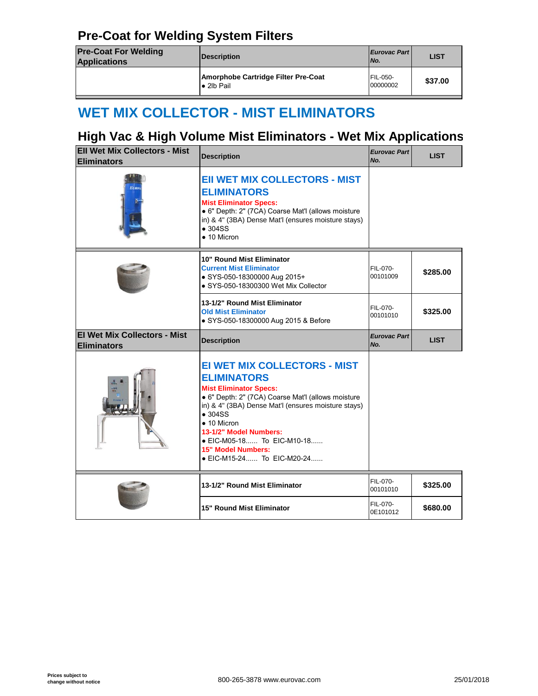### **Pre-Coat for Welding System Filters**

| <b>Pre-Coat For Welding</b><br><b>Eurovac Part</b><br><b>Description</b><br>No.<br><b>Applications</b><br><b>FIL-050-</b> |                                     |  |
|---------------------------------------------------------------------------------------------------------------------------|-------------------------------------|--|
|                                                                                                                           |                                     |  |
| 00000002<br>$\bullet$ 2lb Pail                                                                                            | Amorphobe Cartridge Filter Pre-Coat |  |

## **WET MIX COLLECTOR - MIST ELIMINATORS**

### **High Vac & High Volume Mist Eliminators - Wet Mix Appl**

| <b>EII Wet Mix Collectors - Mist</b><br><b>Eliminators</b> | <b>Description</b>                                                                                                                                                                                                                                                                                                                                                   | <b>Eurovac Part</b><br>No. |
|------------------------------------------------------------|----------------------------------------------------------------------------------------------------------------------------------------------------------------------------------------------------------------------------------------------------------------------------------------------------------------------------------------------------------------------|----------------------------|
|                                                            | <b>EII WET MIX COLLECTORS - MIST</b><br><b>ELIMINATORS</b><br><b>Mist Eliminator Specs:</b><br>· 6" Depth: 2" (7CA) Coarse Mat'l (allows moisture<br>in) & 4" (3BA) Dense Mat'l (ensures moisture stays)<br>$\bullet$ 304SS<br>$\bullet$ 10 Micron                                                                                                                   |                            |
|                                                            | 10" Round Mist Eliminator<br><b>Current Mist Eliminator</b><br>· SYS-050-18300000 Aug 2015+<br>• SYS-050-18300300 Wet Mix Collector                                                                                                                                                                                                                                  | FIL-070-<br>00101009       |
|                                                            | 13-1/2" Round Mist Eliminator<br><b>Old Mist Eliminator</b><br>• SYS-050-18300000 Aug 2015 & Before                                                                                                                                                                                                                                                                  | FIL-070-<br>00101010       |
| <b>El Wet Mix Collectors - Mist</b>                        | <b>Description</b>                                                                                                                                                                                                                                                                                                                                                   | <b>Eurovac Part</b>        |
| <b>Eliminators</b>                                         |                                                                                                                                                                                                                                                                                                                                                                      | No.                        |
|                                                            | <b>EI WET MIX COLLECTORS - MIST</b><br><b>ELIMINATORS</b><br><b>Mist Eliminator Specs:</b><br>· 6" Depth: 2" (7CA) Coarse Mat'l (allows moisture<br>in) & 4" (3BA) Dense Mat'l (ensures moisture stays)<br>$\bullet$ 304SS<br>$\bullet$ 10 Micron<br>13-1/2" Model Numbers:<br>• EIC-M05-18 To EIC-M10-18<br><b>15" Model Numbers:</b><br>• EIC-M15-24 To EIC-M20-24 |                            |
|                                                            | 13-1/2" Round Mist Eliminator                                                                                                                                                                                                                                                                                                                                        | FIL-070-<br>00101010       |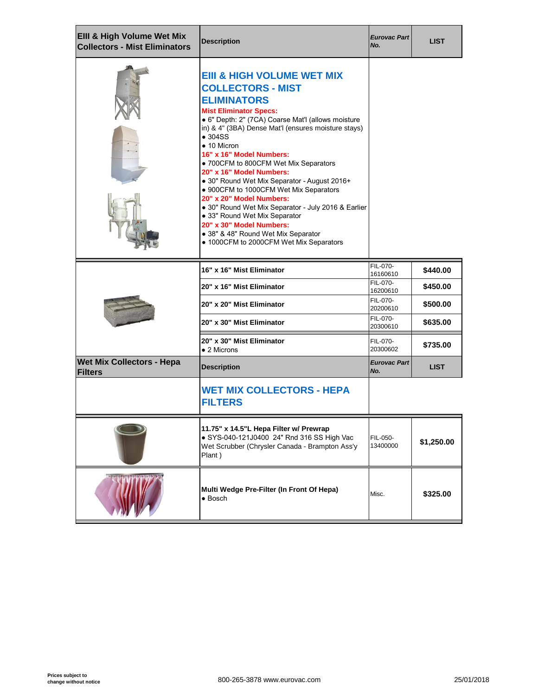| Elll & High Volume Wet Mix<br><b>Collectors - Mist Eliminators</b> | <b>Description</b>                                                                                                                                                                                                                                                                                                                                                                                                                                                                                                                                                                                                                                                                                           | <b>Eurovac Part</b><br>No. |
|--------------------------------------------------------------------|--------------------------------------------------------------------------------------------------------------------------------------------------------------------------------------------------------------------------------------------------------------------------------------------------------------------------------------------------------------------------------------------------------------------------------------------------------------------------------------------------------------------------------------------------------------------------------------------------------------------------------------------------------------------------------------------------------------|----------------------------|
|                                                                    | <b>EIII &amp; HIGH VOLUME WET MIX</b><br><b>COLLECTORS - MIST</b><br><b>ELIMINATORS</b><br><b>Mist Eliminator Specs:</b><br>· 6" Depth: 2" (7CA) Coarse Mat'l (allows moisture<br>in) & 4" (3BA) Dense Mat'l (ensures moisture stays)<br>$\bullet$ 304SS<br>$\bullet$ 10 Micron<br>16" x 16" Model Numbers:<br>• 700CFM to 800CFM Wet Mix Separators<br>20" x 16" Model Numbers:<br>• 30" Round Wet Mix Separator - August 2016+<br>• 900CFM to 1000CFM Wet Mix Separators<br>20" x 20" Model Numbers:<br>· 30" Round Wet Mix Separator - July 2016 & Earlier<br>· 33" Round Wet Mix Separator<br>20" x 30" Model Numbers:<br>• 38" & 48" Round Wet Mix Separator<br>• 1000CFM to 2000CFM Wet Mix Separators |                            |
|                                                                    | 16" x 16" Mist Eliminator                                                                                                                                                                                                                                                                                                                                                                                                                                                                                                                                                                                                                                                                                    | FIL-070-<br>16160610       |
|                                                                    | 20" x 16" Mist Eliminator                                                                                                                                                                                                                                                                                                                                                                                                                                                                                                                                                                                                                                                                                    | FIL-070-<br>16200610       |
|                                                                    | 20" x 20" Mist Eliminator                                                                                                                                                                                                                                                                                                                                                                                                                                                                                                                                                                                                                                                                                    | FIL-070-<br>20200610       |
|                                                                    | 20" x 30" Mist Eliminator                                                                                                                                                                                                                                                                                                                                                                                                                                                                                                                                                                                                                                                                                    | FIL-070-<br>20300610       |
|                                                                    | 20" x 30" Mist Eliminator<br>$\bullet$ 2 Microns                                                                                                                                                                                                                                                                                                                                                                                                                                                                                                                                                                                                                                                             | FIL-070-<br>20300602       |
| <b>Wet Mix Collectors - Hepa</b><br><b>Filters</b>                 | <b>Description</b>                                                                                                                                                                                                                                                                                                                                                                                                                                                                                                                                                                                                                                                                                           | <b>Eurovac Part</b><br>No. |
|                                                                    | <b>WET MIX COLLECTORS - HEPA</b><br><b>FILTERS</b>                                                                                                                                                                                                                                                                                                                                                                                                                                                                                                                                                                                                                                                           |                            |
|                                                                    | 11.75" x 14.5"L Hepa Filter w/ Prewrap<br>• SYS-040-121J0400 24" Rnd 316 SS High Vac<br>Wet Scrubber (Chrysler Canada - Brampton Ass'y<br>Plant)                                                                                                                                                                                                                                                                                                                                                                                                                                                                                                                                                             | FIL-050-<br>13400000       |
|                                                                    | Multi Wedge Pre-Filter (In Front Of Hepa)<br>$\bullet$ Bosch                                                                                                                                                                                                                                                                                                                                                                                                                                                                                                                                                                                                                                                 | Misc.                      |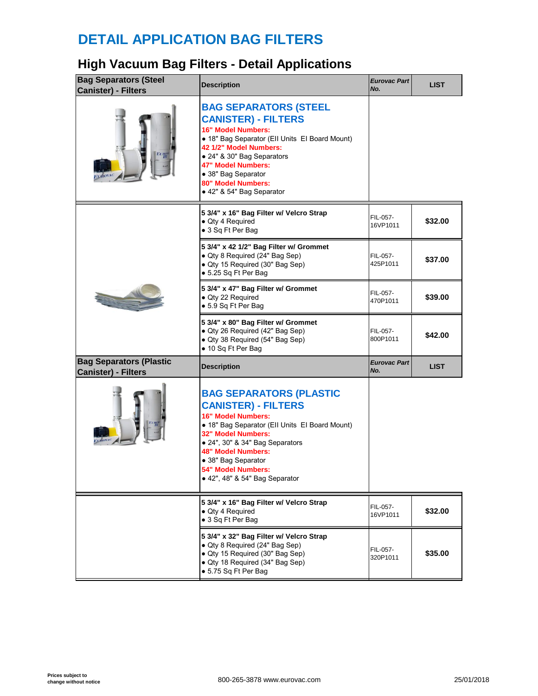## **DETAIL APPLICATION BAG FILTERS**

## **High Vacuum Bag Filters - Detail Applications**

| <b>Bag Separators (Steel</b><br><b>Canister) - Filters</b>   | <b>Description</b>                                                                                                                                                                                                                                                                                        | <b>Eurovac Part</b><br>No. |
|--------------------------------------------------------------|-----------------------------------------------------------------------------------------------------------------------------------------------------------------------------------------------------------------------------------------------------------------------------------------------------------|----------------------------|
| $E$ <i>URO</i>                                               | <b>BAG SEPARATORS (STEEL</b><br><b>CANISTER) - FILTERS</b><br>16" Model Numbers:<br>• 18" Bag Separator (Ell Units El Board Mount)<br>42 1/2" Model Numbers:<br>• 24" & 30" Bag Separators<br>47" Model Numbers:<br>· 38" Bag Separator<br>80" Model Numbers:<br>• 42" & 54" Bag Separator                |                            |
|                                                              | 5 3/4" x 16" Bag Filter w/ Velcro Strap<br>• Qty 4 Required<br>• 3 Sq Ft Per Bag                                                                                                                                                                                                                          | FIL-057-<br>16VP1011       |
|                                                              | 5 3/4" x 42 1/2" Bag Filter w/ Grommet<br>• Qty 8 Required (24" Bag Sep)<br>• Qty 15 Required (30" Bag Sep)<br>● 5.25 Sq Ft Per Bag                                                                                                                                                                       | FIL-057-<br>425P1011       |
|                                                              | 5 3/4" x 47" Bag Filter w/ Grommet<br>· Qty 22 Required<br>● 5.9 Sq Ft Per Bag                                                                                                                                                                                                                            | FIL-057-<br>470P1011       |
|                                                              | 5 3/4" x 80" Bag Filter w/ Grommet<br>• Qty 26 Required (42" Bag Sep)<br>• Qty 38 Required (54" Bag Sep)<br>• 10 Sq Ft Per Bag                                                                                                                                                                            | FIL-057-<br>800P1011       |
|                                                              |                                                                                                                                                                                                                                                                                                           |                            |
| <b>Bag Separators (Plastic</b><br><b>Canister) - Filters</b> | <b>Description</b>                                                                                                                                                                                                                                                                                        | <b>Eurovac Part</b><br>No. |
|                                                              | <b>BAG SEPARATORS (PLASTIC</b><br><b>CANISTER) - FILTERS</b><br>16" Model Numbers:<br>• 18" Bag Separator (Ell Units El Board Mount)<br>32" Model Numbers:<br>• 24", 30" & 34" Bag Separators<br><b>48" Model Numbers:</b><br>• 38" Bag Separator<br>54" Model Numbers:<br>• 42", 48" & 54" Bag Separator |                            |
|                                                              | 5 3/4" x 16" Bag Filter w/ Velcro Strap<br>• Qty 4 Required<br>• 3 Sq Ft Per Bag                                                                                                                                                                                                                          | FIL-057-<br>16VP1011       |
|                                                              | 5 3/4" x 32" Bag Filter w/ Velcro Strap<br>• Qty 8 Required (24" Bag Sep)<br>• Qty 15 Required (30" Bag Sep)<br>· Qty 18 Required (34" Bag Sep)<br>● 5.75 Sq Ft Per Bag                                                                                                                                   | FIL-057-<br>320P1011       |